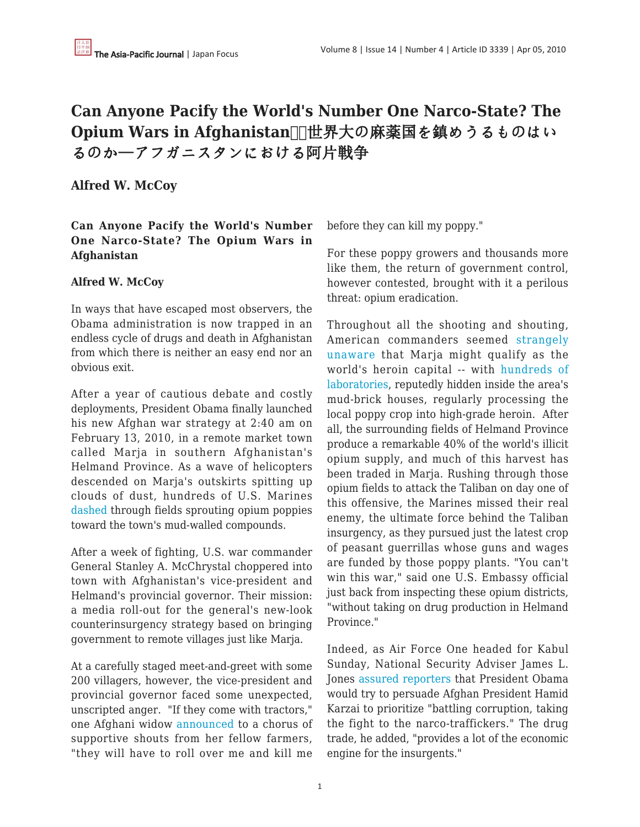# **Can Anyone Pacify the World's Number One Narco-State? The** Opium Wars in Afghanistan **II世界大の麻薬国を鎮めうるものは**い るのか—アフガニスタンにおける阿片戦争

### **Alfred W. McCoy**

## **Can Anyone Pacify the World's Number One Narco-State? The Opium Wars in Afghanistan**

#### **Alfred W. McCoy**

In ways that have escaped most observers, the Obama administration is now trapped in an endless cycle of drugs and death in Afghanistan from which there is neither an easy end nor an obvious exit.

After a year of cautious debate and costly deployments, President Obama finally launched his new Afghan war strategy at 2:40 am on February 13, 2010, in a remote market town called Marja in southern Afghanistan's Helmand Province. As a wave of helicopters descended on Marja's outskirts spitting up clouds of dust, hundreds of U.S. Marines [dashed](http://www.nytimes.com/2010/02/14/world/asia/14marja.html) through fields sprouting opium poppies toward the town's mud-walled compounds.

After a week of fighting, U.S. war commander General Stanley A. McChrystal choppered into town with Afghanistan's vice-president and Helmand's provincial governor. Their mission: a media roll-out for the general's new-look counterinsurgency strategy based on bringing government to remote villages just like Marja.

At a carefully staged meet-and-greet with some 200 villagers, however, the vice-president and provincial governor faced some unexpected, unscripted anger. "If they come with tractors," one Afghani widow [announced](http://www.nytimes.com/2010/03/02/world/asia/02marja.html) to a chorus of supportive shouts from her fellow farmers, "they will have to roll over me and kill me before they can kill my poppy."

For these poppy growers and thousands more like them, the return of government control, however contested, brought with it a perilous threat: opium eradication.

Throughout all the shooting and shouting, American commanders seemed [strangely](http://www.nytimes.com/2010/03/21/world/asia/21marja.html) [unaware](http://www.nytimes.com/2010/03/21/world/asia/21marja.html) that Marja might qualify as the world's heroin capital -- with [hundreds of](http://www.globalpost.com/dispatch/afghanistan/100204/helmand-counterinsurgency-heroin) [laboratories,](http://www.globalpost.com/dispatch/afghanistan/100204/helmand-counterinsurgency-heroin) reputedly hidden inside the area's mud-brick houses, regularly processing the local poppy crop into high-grade heroin. After all, the surrounding fields of Helmand Province produce a remarkable 40% of the world's illicit opium supply, and much of this harvest has been traded in Marja. Rushing through those opium fields to attack the Taliban on day one of this offensive, the Marines missed their real enemy, the ultimate force behind the Taliban insurgency, as they pursued just the latest crop of peasant guerrillas whose guns and wages are funded by those poppy plants. "You can't win this war," said one U.S. Embassy official just back from inspecting these opium districts, "without taking on drug production in Helmand Province."

Indeed, as Air Force One headed for Kabul Sunday, National Security Adviser James L. Jones [assured reporters](http://thepage.time.com/pool-reports-obama-in-afghanistan/) that President Obama would try to persuade Afghan President Hamid Karzai to prioritize "battling corruption, taking the fight to the narco-traffickers." The drug trade, he added, "provides a lot of the economic engine for the insurgents."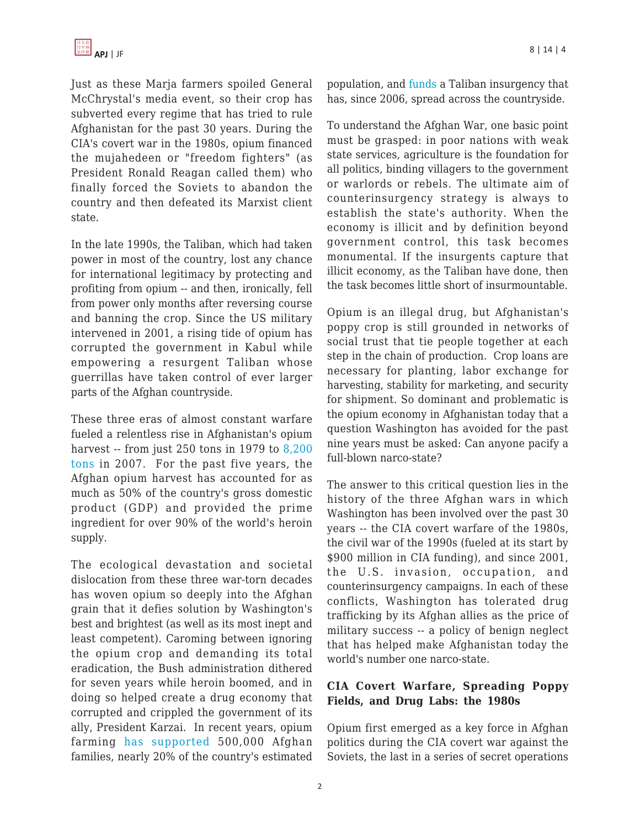Just as these Marja farmers spoiled General McChrystal's media event, so their crop has subverted every regime that has tried to rule Afghanistan for the past 30 years. During the CIA's covert war in the 1980s, opium financed the mujahedeen or "freedom fighters" (as President Ronald Reagan called them) who finally forced the Soviets to abandon the country and then defeated its Marxist client state.

In the late 1990s, the Taliban, which had taken power in most of the country, lost any chance for international legitimacy by protecting and profiting from opium -- and then, ironically, fell from power only months after reversing course and banning the crop. Since the US military intervened in 2001, a rising tide of opium has corrupted the government in Kabul while empowering a resurgent Taliban whose guerrillas have taken control of ever larger parts of the Afghan countryside.

These three eras of almost constant warfare fueled a relentless rise in Afghanistan's opium harvest -- from just 250 tons in 1979 to [8,200](http://www.unis.unvienna.org/unis/pressrels/2007/unisnar1013.html) [tons](http://www.unis.unvienna.org/unis/pressrels/2007/unisnar1013.html) in 2007. For the past five years, the Afghan opium harvest has accounted for as much as 50% of the country's gross domestic product (GDP) and provided the prime ingredient for over 90% of the world's heroin supply.

The ecological devastation and societal dislocation from these three war-torn decades has woven opium so deeply into the Afghan grain that it defies solution by Washington's best and brightest (as well as its most inept and least competent). Caroming between ignoring the opium crop and demanding its total eradication, the Bush administration dithered for seven years while heroin boomed, and in doing so helped create a drug economy that corrupted and crippled the government of its ally, President Karzai. In recent years, opium farming [has supported](http://www.newsweek.com/id/129577) 500,000 Afghan families, nearly 20% of the country's estimated population, and [funds](http://www.nytimes.com/2006/10/22/magazine/22afghanistan.html?_r=2) a Taliban insurgency that has, since 2006, spread across the countryside.

To understand the Afghan War, one basic point must be grasped: in poor nations with weak state services, agriculture is the foundation for all politics, binding villagers to the government or warlords or rebels. The ultimate aim of counterinsurgency strategy is always to establish the state's authority. When the economy is illicit and by definition beyond government control, this task becomes monumental. If the insurgents capture that illicit economy, as the Taliban have done, then the task becomes little short of insurmountable.

Opium is an illegal drug, but Afghanistan's poppy crop is still grounded in networks of social trust that tie people together at each step in the chain of production. Crop loans are necessary for planting, labor exchange for harvesting, stability for marketing, and security for shipment. So dominant and problematic is the opium economy in Afghanistan today that a question Washington has avoided for the past nine years must be asked: Can anyone pacify a full-blown narco-state?

The answer to this critical question lies in the history of the three Afghan wars in which Washington has been involved over the past 30 years -- the CIA covert warfare of the 1980s, the civil war of the 1990s (fueled at its start by \$900 million in CIA funding), and since 2001, the U.S. invasion, occupation, and counterinsurgency campaigns. In each of these conflicts, Washington has tolerated drug trafficking by its Afghan allies as the price of military success -- a policy of benign neglect that has helped make Afghanistan today the world's number one narco-state.

#### **CIA Covert Warfare, Spreading Poppy Fields, and Drug Labs: the 1980s**

Opium first emerged as a key force in Afghan politics during the CIA covert war against the Soviets, the last in a series of secret operations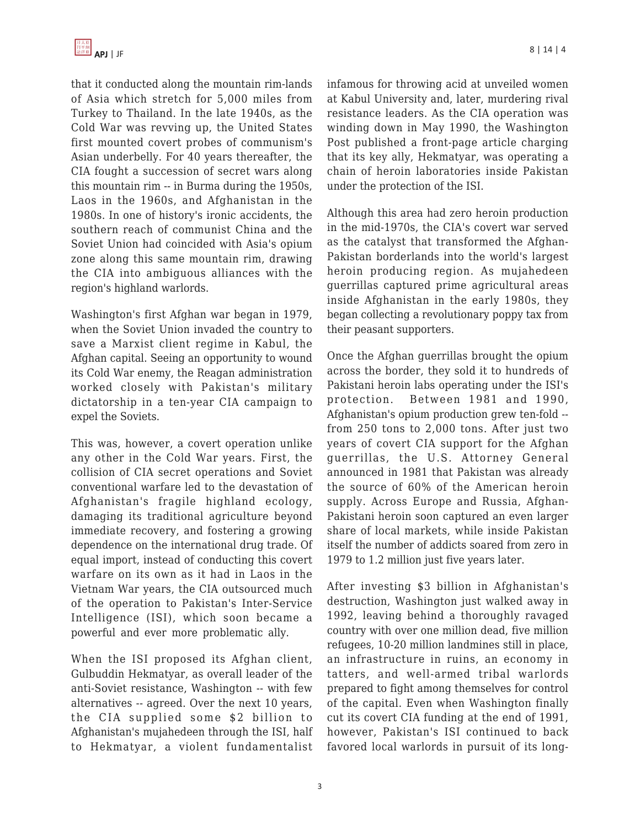that it conducted along the mountain rim-lands of Asia which stretch for 5,000 miles from Turkey to Thailand. In the late 1940s, as the Cold War was revving up, the United States first mounted covert probes of communism's Asian underbelly. For 40 years thereafter, the CIA fought a succession of secret wars along this mountain rim -- in Burma during the 1950s, Laos in the 1960s, and Afghanistan in the 1980s. In one of history's ironic accidents, the southern reach of communist China and the Soviet Union had coincided with Asia's opium zone along this same mountain rim, drawing the CIA into ambiguous alliances with the region's highland warlords.

Washington's first Afghan war began in 1979, when the Soviet Union invaded the country to save a Marxist client regime in Kabul, the Afghan capital. Seeing an opportunity to wound its Cold War enemy, the Reagan administration worked closely with Pakistan's military dictatorship in a ten-year CIA campaign to expel the Soviets.

This was, however, a covert operation unlike any other in the Cold War years. First, the collision of CIA secret operations and Soviet conventional warfare led to the devastation of Afghanistan's fragile highland ecology, damaging its traditional agriculture beyond immediate recovery, and fostering a growing dependence on the international drug trade. Of equal import, instead of conducting this covert warfare on its own as it had in Laos in the Vietnam War years, the CIA outsourced much of the operation to Pakistan's Inter-Service Intelligence (ISI), which soon became a powerful and ever more problematic ally.

When the ISI proposed its Afghan client, Gulbuddin Hekmatyar, as overall leader of the anti-Soviet resistance, Washington -- with few alternatives -- agreed. Over the next 10 years, the CIA supplied some \$2 billion to Afghanistan's mujahedeen through the ISI, half to Hekmatyar, a violent fundamentalist infamous for throwing acid at unveiled women at Kabul University and, later, murdering rival resistance leaders. As the CIA operation was winding down in May 1990, the Washington Post published a front-page article charging that its key ally, Hekmatyar, was operating a chain of heroin laboratories inside Pakistan under the protection of the ISI.

Although this area had zero heroin production in the mid-1970s, the CIA's covert war served as the catalyst that transformed the Afghan-Pakistan borderlands into the world's largest heroin producing region. As mujahedeen guerrillas captured prime agricultural areas inside Afghanistan in the early 1980s, they began collecting a revolutionary poppy tax from their peasant supporters.

Once the Afghan guerrillas brought the opium across the border, they sold it to hundreds of Pakistani heroin labs operating under the ISI's protection. Between 1981 and 1990, Afghanistan's opium production grew ten-fold - from 250 tons to 2,000 tons. After just two years of covert CIA support for the Afghan guerrillas, the U.S. Attorney General announced in 1981 that Pakistan was already the source of 60% of the American heroin supply. Across Europe and Russia, Afghan-Pakistani heroin soon captured an even larger share of local markets, while inside Pakistan itself the number of addicts soared from zero in 1979 to 1.2 million just five years later.

After investing \$3 billion in Afghanistan's destruction, Washington just walked away in 1992, leaving behind a thoroughly ravaged country with over one million dead, five million refugees, 10-20 million landmines still in place, an infrastructure in ruins, an economy in tatters, and well-armed tribal warlords prepared to fight among themselves for control of the capital. Even when Washington finally cut its covert CIA funding at the end of 1991, however, Pakistan's ISI continued to back favored local warlords in pursuit of its long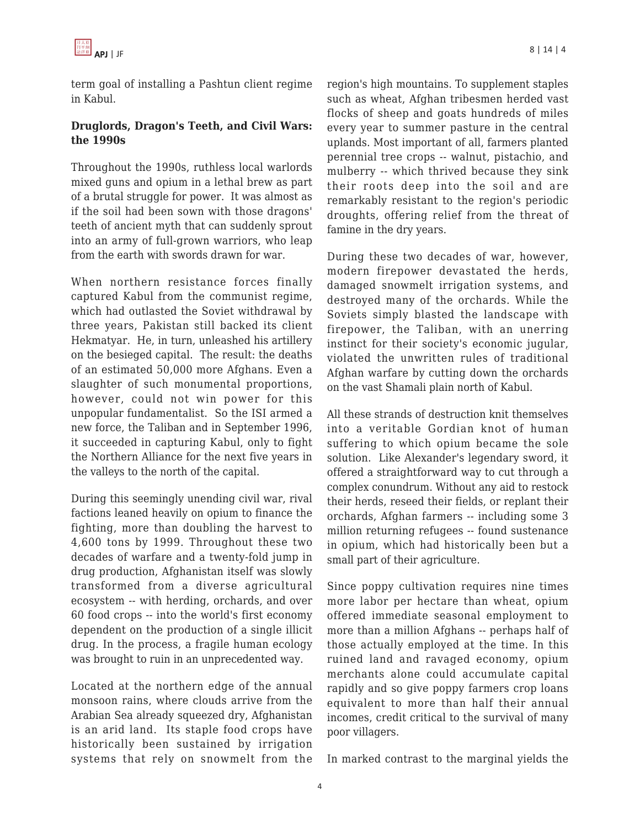term goal of installing a Pashtun client regime in Kabul.

#### **Druglords, Dragon's Teeth, and Civil Wars: the 1990s**

Throughout the 1990s, ruthless local warlords mixed guns and opium in a lethal brew as part of a brutal struggle for power. It was almost as if the soil had been sown with those dragons' teeth of ancient myth that can suddenly sprout into an army of full-grown warriors, who leap from the earth with swords drawn for war.

When northern resistance forces finally captured Kabul from the communist regime, which had outlasted the Soviet withdrawal by three years, Pakistan still backed its client Hekmatyar. He, in turn, unleashed his artillery on the besieged capital. The result: the deaths of an estimated 50,000 more Afghans. Even a slaughter of such monumental proportions, however, could not win power for this unpopular fundamentalist. So the ISI armed a new force, the Taliban and in September 1996, it succeeded in capturing Kabul, only to fight the Northern Alliance for the next five years in the valleys to the north of the capital.

During this seemingly unending civil war, rival factions leaned heavily on opium to finance the fighting, more than doubling the harvest to 4,600 tons by 1999. Throughout these two decades of warfare and a twenty-fold jump in drug production, Afghanistan itself was slowly transformed from a diverse agricultural ecosystem -- with herding, orchards, and over 60 food crops -- into the world's first economy dependent on the production of a single illicit drug. In the process, a fragile human ecology was brought to ruin in an unprecedented way.

Located at the northern edge of the annual monsoon rains, where clouds arrive from the Arabian Sea already squeezed dry, Afghanistan is an arid land. Its staple food crops have historically been sustained by irrigation systems that rely on snowmelt from the region's high mountains. To supplement staples such as wheat, Afghan tribesmen herded vast flocks of sheep and goats hundreds of miles every year to summer pasture in the central uplands. Most important of all, farmers planted perennial tree crops -- walnut, pistachio, and mulberry -- which thrived because they sink their roots deep into the soil and are remarkably resistant to the region's periodic droughts, offering relief from the threat of famine in the dry years.

During these two decades of war, however, modern firepower devastated the herds, damaged snowmelt irrigation systems, and destroyed many of the orchards. While the Soviets simply blasted the landscape with firepower, the Taliban, with an unerring instinct for their society's economic jugular, violated the unwritten rules of traditional Afghan warfare by cutting down the orchards on the vast Shamali plain north of Kabul.

All these strands of destruction knit themselves into a veritable Gordian knot of human suffering to which opium became the sole solution. Like Alexander's legendary sword, it offered a straightforward way to cut through a complex conundrum. Without any aid to restock their herds, reseed their fields, or replant their orchards, Afghan farmers -- including some 3 million returning refugees -- found sustenance in opium, which had historically been but a small part of their agriculture.

Since poppy cultivation requires nine times more labor per hectare than wheat, opium offered immediate seasonal employment to more than a million Afghans -- perhaps half of those actually employed at the time. In this ruined land and ravaged economy, opium merchants alone could accumulate capital rapidly and so give poppy farmers crop loans equivalent to more than half their annual incomes, credit critical to the survival of many poor villagers.

In marked contrast to the marginal yields the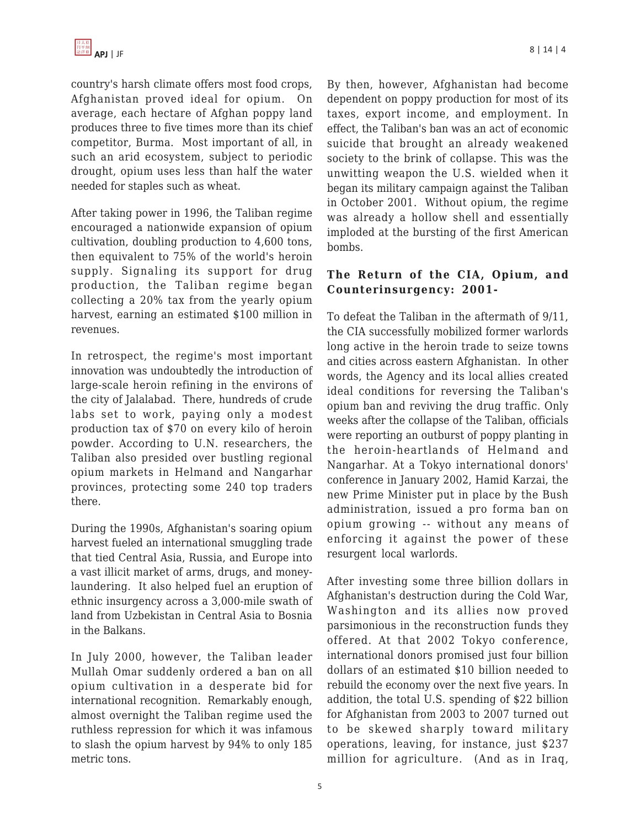country's harsh climate offers most food crops, Afghanistan proved ideal for opium. On average, each hectare of Afghan poppy land produces three to five times more than its chief competitor, Burma. Most important of all, in such an arid ecosystem, subject to periodic drought, opium uses less than half the water needed for staples such as wheat.

After taking power in 1996, the Taliban regime encouraged a nationwide expansion of opium cultivation, doubling production to 4,600 tons, then equivalent to 75% of the world's heroin supply. Signaling its support for drug production, the Taliban regime began collecting a 20% tax from the yearly opium harvest, earning an estimated \$100 million in revenues.

In retrospect, the regime's most important innovation was undoubtedly the introduction of large-scale heroin refining in the environs of the city of Jalalabad. There, hundreds of crude labs set to work, paying only a modest production tax of \$70 on every kilo of heroin powder. According to U.N. researchers, the Taliban also presided over bustling regional opium markets in Helmand and Nangarhar provinces, protecting some 240 top traders there.

During the 1990s, Afghanistan's soaring opium harvest fueled an international smuggling trade that tied Central Asia, Russia, and Europe into a vast illicit market of arms, drugs, and moneylaundering. It also helped fuel an eruption of ethnic insurgency across a 3,000-mile swath of land from Uzbekistan in Central Asia to Bosnia in the Balkans.

In July 2000, however, the Taliban leader Mullah Omar suddenly ordered a ban on all opium cultivation in a desperate bid for international recognition. Remarkably enough, almost overnight the Taliban regime used the ruthless repression for which it was infamous to slash the opium harvest by 94% to only 185 metric tons.

By then, however, Afghanistan had become dependent on poppy production for most of its taxes, export income, and employment. In effect, the Taliban's ban was an act of economic suicide that brought an already weakened society to the brink of collapse. This was the unwitting weapon the U.S. wielded when it began its military campaign against the Taliban in October 2001. Without opium, the regime was already a hollow shell and essentially imploded at the bursting of the first American bombs.

## **The Return of the CIA, Opium, and Counterinsurgency: 2001-**

To defeat the Taliban in the aftermath of 9/11, the CIA successfully mobilized former warlords long active in the heroin trade to seize towns and cities across eastern Afghanistan. In other words, the Agency and its local allies created ideal conditions for reversing the Taliban's opium ban and reviving the drug traffic. Only weeks after the collapse of the Taliban, officials were reporting an outburst of poppy planting in the heroin-heartlands of Helmand and Nangarhar. At a Tokyo international donors' conference in January 2002, Hamid Karzai, the new Prime Minister put in place by the Bush administration, issued a pro forma ban on opium growing -- without any means of enforcing it against the power of these resurgent local warlords.

After investing some three billion dollars in Afghanistan's destruction during the Cold War, Washington and its allies now proved parsimonious in the reconstruction funds they offered. At that 2002 Tokyo conference, international donors promised just four billion dollars of an estimated \$10 billion needed to rebuild the economy over the next five years. In addition, the total U.S. spending of \$22 billion for Afghanistan from 2003 to 2007 turned out to be skewed sharply toward military operations, leaving, for instance, just \$237 million for agriculture. (And as in Iraq,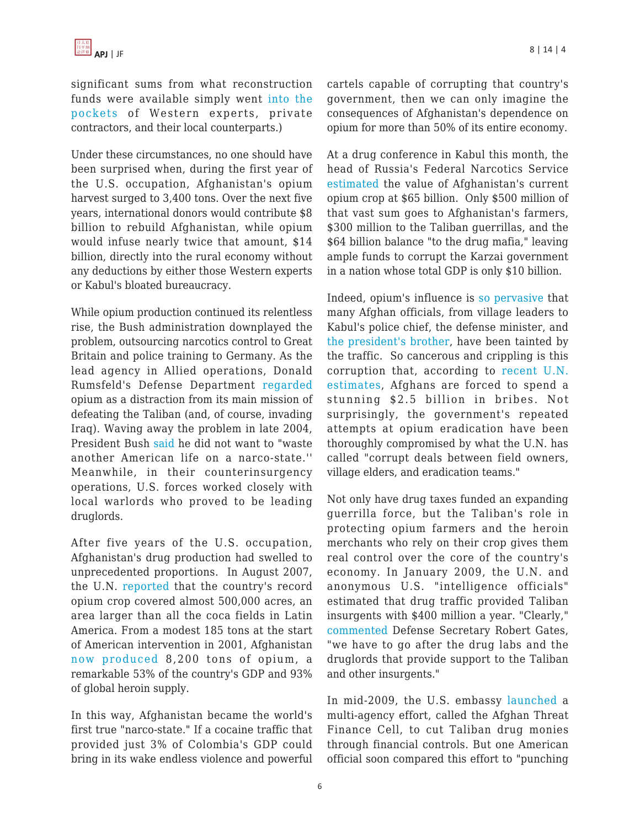

significant sums from what reconstruction funds were available simply went [into the](http://www.tomdispatch.com/post/175019/ann_jones_the_afghan_reconstruction_boondoggle) [pockets](http://www.tomdispatch.com/post/175019/ann_jones_the_afghan_reconstruction_boondoggle) of Western experts, private contractors, and their local counterparts.)

Under these circumstances, no one should have been surprised when, during the first year of the U.S. occupation, Afghanistan's opium harvest surged to 3,400 tons. Over the next five years, international donors would contribute \$8 billion to rebuild Afghanistan, while opium would infuse nearly twice that amount, \$14 billion, directly into the rural economy without any deductions by either those Western experts or Kabul's bloated bureaucracy.

While opium production continued its relentless rise, the Bush administration downplayed the problem, outsourcing narcotics control to Great Britain and police training to Germany. As the lead agency in Allied operations, Donald Rumsfeld's Defense Department [regarded](http://www.nytimes.com/2007/05/16/world/asia/16drugs.html) opium as a distraction from its main mission of defeating the Taliban (and, of course, invading Iraq). Waving away the problem in late 2004, President Bush [said](http://www.nytimes.com/2007/05/16/world/asia/16drugs.html) he did not want to "waste another American life on a narco-state.'' Meanwhile, in their counterinsurgency operations, U.S. forces worked closely with local warlords who proved to be leading druglords.

After five years of the U.S. occupation, Afghanistan's drug production had swelled to unprecedented proportions. In August 2007, the U.N. [reported](http://www.unodc.org/unodc/en/press/releases/2007-08-27.html) that the country's record opium crop covered almost 500,000 acres, an area larger than all the coca fields in Latin America. From a modest 185 tons at the start of American intervention in 2001, Afghanistan [now produced](http://www.unis.unvienna.org/unis/pressrels/2007/unisnar1013.html) 8,200 tons of opium, a remarkable 53% of the country's GDP and 93% of global heroin supply.

In this way, Afghanistan became the world's first true "narco-state." If a cocaine traffic that provided just 3% of Colombia's GDP could bring in its wake endless violence and powerful cartels capable of corrupting that country's government, then we can only imagine the consequences of Afghanistan's dependence on opium for more than 50% of its entire economy.

At a drug conference in Kabul this month, the head of Russia's Federal Narcotics Service [estimated](http://ca.news.yahoo.com/s/afp/100317/world/afghanistan_russia_crime_drugs_diplomacy) the value of Afghanistan's current opium crop at \$65 billion. Only \$500 million of that vast sum goes to Afghanistan's farmers, \$300 million to the Taliban guerrillas, and the \$64 billion balance "to the drug mafia," leaving ample funds to corrupt the Karzai government in a nation whose total GDP is only \$10 billion.

Indeed, opium's influence is [so pervasive](http://www.cigionline.org/blogs/2010/3/battle-marjah) that many Afghan officials, from village leaders to Kabul's police chief, the defense minister, and [the president's brother](http://www.nytimes.com/2009/10/28/world/asia/28intel.html), have been tainted by the traffic. So cancerous and crippling is this corruption that, according to [recent U.N.](http://www.huffingtonpost.com/2010/01/20/afghanistan-corruption-cr_n_429411.html) [estimates,](http://www.huffingtonpost.com/2010/01/20/afghanistan-corruption-cr_n_429411.html) Afghans are forced to spend a stunning \$2.5 billion in bribes. Not surprisingly, the government's repeated attempts at opium eradication have been thoroughly compromised by what the U.N. has called "corrupt deals between field owners, village elders, and eradication teams."

Not only have drug taxes funded an expanding guerrilla force, but the Taliban's role in protecting opium farmers and the heroin merchants who rely on their crop gives them real control over the core of the country's economy. In January 2009, the U.N. and anonymous U.S. "intelligence officials" estimated that drug traffic provided Taliban insurgents with \$400 million a year. "Clearly," [commented](http://articles.baltimoresun.com/2009-01-24/news/0901230216_1_afghanistan-narcotics-senior-officials) Defense Secretary Robert Gates, "we have to go after the drug labs and the druglords that provide support to the Taliban and other insurgents."

In mid-2009, the U.S. embassy [launched](http://www.globalpost.com/dispatch/afghanistan/100119/afghanistan-corruption-us-investigation?page=0,0) a multi-agency effort, called the Afghan Threat Finance Cell, to cut Taliban drug monies through financial controls. But one American official soon compared this effort to "punching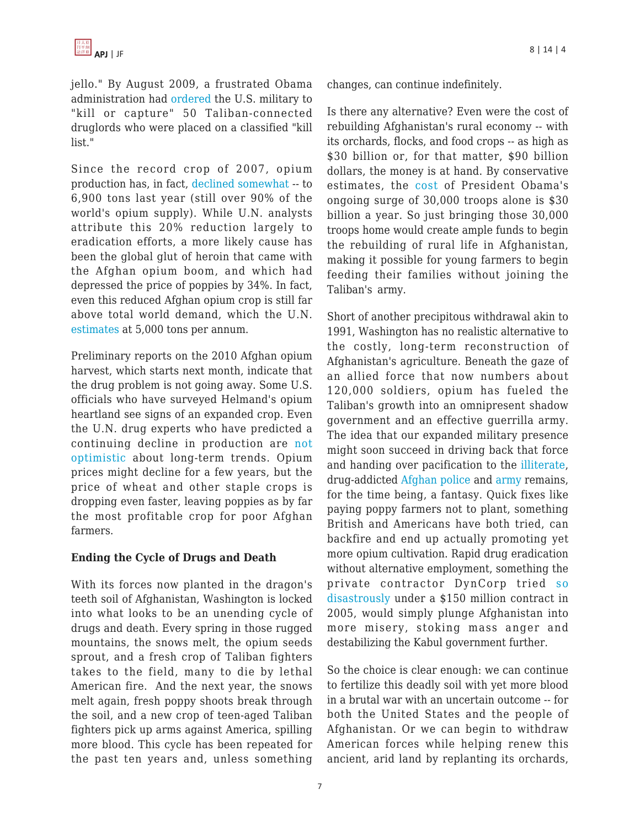jello." By August 2009, a frustrated Obama administration had [ordered](http://abcnews.go.com/Blotter/story?id=8295405) the U.S. military to "kill or capture" 50 Taliban-connected druglords who were placed on a classified "kill list."

Since the record crop of 2007, opium production has, in fact, [declined somewhat](http://www.unodc.org/unodc/en/frontpage/2009/September/afghan-opium-production-in-significant--decline.html) -- to 6,900 tons last year (still over 90% of the world's opium supply). While U.N. analysts attribute this 20% reduction largely to eradication efforts, a more likely cause has been the global glut of heroin that came with the Afghan opium boom, and which had depressed the price of poppies by 34%. In fact, even this reduced Afghan opium crop is still far above total world demand, which the U.N. [estimates](http://www.un.org/apps/news/story.asp?NewsID=31918&Cr=afghan&Cr1) at 5,000 tons per annum.

Preliminary reports on the 2010 Afghan opium harvest, which starts next month, indicate that the drug problem is not going away. Some U.S. officials who have surveyed Helmand's opium heartland see signs of an expanded crop. Even the U.N. drug experts who have predicted a continuing decline in production are [not](http://www.un.org/apps/news/story.asp?NewsID=33727&Cr=afghan&Cr1=) [optimistic](http://www.un.org/apps/news/story.asp?NewsID=33727&Cr=afghan&Cr1=) about long-term trends. Opium prices might decline for a few years, but the price of wheat and other staple crops is dropping even faster, leaving poppies as by far the most profitable crop for poor Afghan farmers.

#### **Ending the Cycle of Drugs and Death**

With its forces now planted in the dragon's teeth soil of Afghanistan, Washington is locked into what looks to be an unending cycle of drugs and death. Every spring in those rugged mountains, the snows melt, the opium seeds sprout, and a fresh crop of Taliban fighters takes to the field, many to die by lethal American fire. And the next year, the snows melt again, fresh poppy shoots break through the soil, and a new crop of teen-aged Taliban fighters pick up arms against America, spilling more blood. This cycle has been repeated for the past ten years and, unless something changes, can continue indefinitely.

Is there any alternative? Even were the cost of rebuilding Afghanistan's rural economy -- with its orchards, flocks, and food crops -- as high as \$30 billion or, for that matter, \$90 billion dollars, the money is at hand. By conservative estimates, the [cost](http://www.nytimes.com/2009/12/02/world/asia/02prexy.html) of President Obama's ongoing surge of 30,000 troops alone is \$30 billion a year. So just bringing those 30,000 troops home would create ample funds to begin the rebuilding of rural life in Afghanistan, making it possible for young farmers to begin feeding their families without joining the Taliban's army.

Short of another precipitous withdrawal akin to 1991, Washington has no realistic alternative to the costly, long-term reconstruction of Afghanistan's agriculture. Beneath the gaze of an allied force that now numbers about 120,000 soldiers, opium has fueled the Taliban's growth into an omnipresent shadow government and an effective guerrilla army. The idea that our expanded military presence might soon succeed in driving back that force and handing over pacification to the [illiterate,](http://www.nytimes.com/2010/02/03/world/asia/03afghan.html) drug-addicted [Afghan police](http://www.tomdispatch.com/blog/175220/tomgram%3A_pratap_chatterjee%2C_failing_afghanistan%27s_cops_/) and [army](http://www.tomdispatch.com/post/175128/ann_jones_us_or_them_in_afghanistan) remains, for the time being, a fantasy. Quick fixes like paying poppy farmers not to plant, something British and Americans have both tried, can backfire and end up actually promoting yet more opium cultivation. Rapid drug eradication without alternative employment, something the private contractor DynCorp tried [so](http://www.britannica.com/bps/additionalcontent/18/37013616/The-Folly-of-Afghan-Opium-Eradication) [disastrously](http://www.britannica.com/bps/additionalcontent/18/37013616/The-Folly-of-Afghan-Opium-Eradication) under a \$150 million contract in 2005, would simply plunge Afghanistan into more misery, stoking mass anger and destabilizing the Kabul government further.

So the choice is clear enough: we can continue to fertilize this deadly soil with yet more blood in a brutal war with an uncertain outcome -- for both the United States and the people of Afghanistan. Or we can begin to withdraw American forces while helping renew this ancient, arid land by replanting its orchards,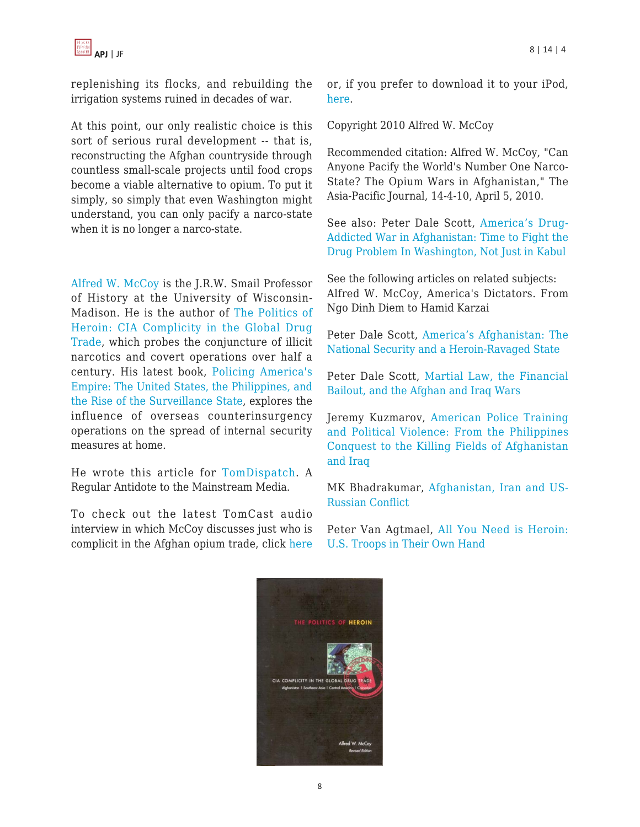replenishing its flocks, and rebuilding the irrigation systems ruined in decades of war.

At this point, our only realistic choice is this sort of serious rural development -- that is, reconstructing the Afghan countryside through countless small-scale projects until food crops become a viable alternative to opium. To put it simply, so simply that even Washington might understand, you can only pacify a narco-state when it is no longer a narco-state.

[Alfred W. McCoy](http://www.tomdispatch.com/authors/alfredmccoy) is the J.R.W. Smail Professor of History at the University of Wisconsin-Madison. He is the author of [The Politics of](http://www.amazon.com/dp/1556524838/?tag=theasipacjo0b-20) [Heroin: CIA Complicity in the Global Drug](http://www.amazon.com/dp/1556524838/?tag=theasipacjo0b-20) [Trade](http://www.amazon.com/dp/1556524838/?tag=theasipacjo0b-20), which probes the conjuncture of illicit narcotics and covert operations over half a century. His latest book, [Policing America's](http://www.amazon.com/dp/0299234142/?tag=theasipacjo0b-20) [Empire: The United States, the Philippines, and](http://www.amazon.com/dp/0299234142/?tag=theasipacjo0b-20) [the Rise of the Surveillance State](http://www.amazon.com/dp/0299234142/?tag=theasipacjo0b-20), explores the influence of overseas counterinsurgency operations on the spread of internal security measures at home.

He wrote this article for [TomDispatch](http://www.tomdispatch.com). A Regular Antidote to the Mainstream Media.

To check out the latest TomCast audio interview in which McCoy discusses just who is complicit in the Afghan opium trade, click [here](http://tomdispatch.blogspot.com/2010/03/taming-dragon.html) or, if you prefer to download it to your iPod, [here.](http://itunes.apple.com/us/podcast/tomcast-from-tomdispatch-com/id357095817)

Copyright 2010 Alfred W. McCoy

Recommended citation: Alfred W. McCoy, "Can Anyone Pacify the World's Number One Narco-State? The Opium Wars in Afghanistan," The Asia-Pacific Journal, 14-4-10, April 5, 2010.

See also: Peter Dale Scott, [America's Drug-](http://japanfocus.org/-Peter_Dale-Scott/3340)[Addicted War in Afghanistan: Time to Fight the](http://japanfocus.org/-Peter_Dale-Scott/3340) [Drug Problem In Washington, Not Just in Kabul](http://japanfocus.org/-Peter_Dale-Scott/3340)

See the following articles on related subjects: Alfred W. McCoy, America's Dictators. From Ngo Dinh Diem to Hamid Karzai

Peter Dale Scott, [America's Afghanistan: The](http://japanfocus.org/-Peter_Dale-Scott/3145) [National Security and a Heroin-Ravaged State](http://japanfocus.org/-Peter_Dale-Scott/3145)

Peter Dale Scott, [Martial Law, the Financial](http://japanfocus.org/-Peter_Dale-Scott/3010) [Bailout, and the Afghan and Iraq Wars](http://japanfocus.org/-Peter_Dale-Scott/3010)

Jeremy Kuzmarov, [American Police Training](http://japanfocus.org/-Jeremy-Kuzmarov/3319) [and Political Violence: From the Philippines](http://japanfocus.org/-Jeremy-Kuzmarov/3319) [Conquest to the Killing Fields of Afghanistan](http://japanfocus.org/-Jeremy-Kuzmarov/3319) [and Iraq](http://japanfocus.org/-Jeremy-Kuzmarov/3319)

MK Bhadrakumar, [Afghanistan, Iran and US-](http://japanfocus.org/-M_K-Bhadrakumar/2996)[Russian Conflict](http://japanfocus.org/-M_K-Bhadrakumar/2996)

Peter Van Agtmael, [All You Need is Heroin:](http://bagnewsnotes.typepad.com/bagnews/2007/11/all-you-need-is.html) [U.S. Troops in Their Own Hand](http://bagnewsnotes.typepad.com/bagnews/2007/11/all-you-need-is.html)